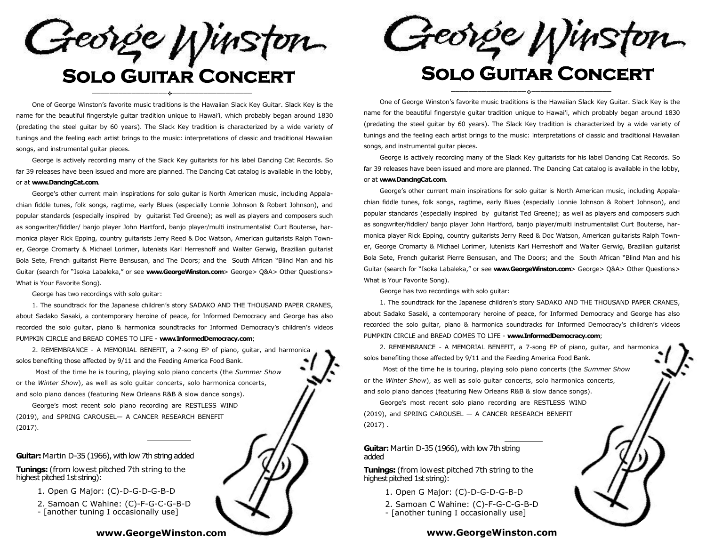# Feorge Winston **Solo Guitar Concert**   $\overline{\phantom{a}}$ \_\_\_\_\_\_\_\_\_\_\_\_\_\_\_\_\_\_

One of George Winston's favorite music traditions is the Hawaiian Slack Key Guitar. Slack Key is the name for the beautiful fingerstyle guitar tradition unique to Hawai'i, which probably began around 1830 (predating the steel guitar by 60 years). The Slack Key tradition is characterized by a wide variety of tunings and the feeling each artist brings to the music: interpretations of classic and traditional Hawaiian songs, and instrumental guitar pieces.

George is actively recording many of the Slack Key guitarists for his label Dancing Cat Records. So far 39 releases have been issued and more are planned. The Dancing Cat catalog is available in the lobby, or at **www.DancingCat.com**.

George's other current main inspirations for solo guitar is North American music, including Appalachian fiddle tunes, folk songs, ragtime, early Blues (especially Lonnie Johnson & Robert Johnson), and popular standards (especially inspired by guitarist Ted Greene); as well as players and composers such as songwriter/fiddler/ banjo player John Hartford, banjo player/multi instrumentalist Curt Bouterse, harmonica player Rick Epping, country guitarists Jerry Reed & Doc Watson, American guitarists Ralph Towner, George Cromarty & Michael Lorimer, lutenists Karl Herreshoff and Walter Gerwig, Brazilian guitarist Bola Sete, French guitarist Pierre Bensusan, and The Doors; and the South African "Blind Man and his Guitar (search for "Isoka Labaleka," or see **www.GeorgeWinston.com**> George> Q&A*>* Other Questions*>*  What is Your Favorite Song).

George has two recordings with solo guitar:

1. The soundtrack for the Japanese children's story SADAKO AND THE THOUSAND PAPER CRANES, about Sadako Sasaki, a contemporary heroine of peace, for Informed Democracy and George has also recorded the solo guitar, piano & harmonica soundtracks for Informed Democracy's children's videos PUMPKIN CIRCLE and BREAD COMES TO LIFE - **www.InformedDemocracy.com**;

2. REMEMBRANCE - A MEMORIAL BENEFIT, a 7-song EP of piano, guitar, and harmonica solos benefiting those affected by 9/11 and the Feeding America Food Bank.

Most of the time he is touring, playing solo piano concerts (the *Summer Show* or the *Winter Show*), as well as solo guitar concerts, solo harmonica concerts, and solo piano dances (featuring New Orleans R&B & slow dance songs).

George's most recent solo piano recording are RESTLESS WIND (2019), and SPRING CAROUSEL— A CANCER RESEARCH BENEFIT (2017).

**Guitar:** Martin D-35 (1966), with low 7th string added

**Tunings:** (from lowest pitched 7th string to the highest pitched 1st string):

1. Open G Major: (C)-D-G-D-G-B-D

 2. Samoan C Wahine: (C)-F-G-C-G-B-D - [another tuning I occasionally use]

**www.GeorgeWinston.com**